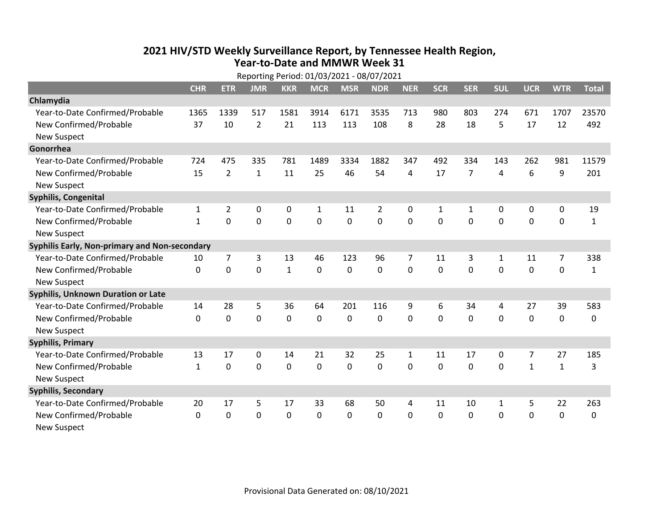## **2021 HIV /STD Weekly Surveillance Report, by Tennessee Health Region, Year‐to‐Date and MMWR Week 31** Reporting Period: 01/03/2021 ‐ 08/07/2021

| Reporting Period: 01/03/2021 - 08/07/2021     |              |                |                |              |              |                |             |                |              |                |              |                |              |              |
|-----------------------------------------------|--------------|----------------|----------------|--------------|--------------|----------------|-------------|----------------|--------------|----------------|--------------|----------------|--------------|--------------|
|                                               | <b>CHR</b>   | <b>ETR</b>     | <b>JMR</b>     | <b>KKR</b>   | <b>MCR</b>   | <b>MSR</b>     | <b>NDR</b>  | <b>NER</b>     | <b>SCR</b>   | <b>SER</b>     | <b>SUL</b>   | <b>UCR</b>     | <b>WTR</b>   | <b>Total</b> |
| Chlamydia                                     |              |                |                |              |              |                |             |                |              |                |              |                |              |              |
| Year-to-Date Confirmed/Probable               | 1365         | 1339           | 517            | 1581         | 3914         | 6171           | 3535        | 713            | 980          | 803            | 274          | 671            | 1707         | 23570        |
| New Confirmed/Probable                        | 37           | 10             | $\overline{2}$ | 21           | 113          | 113            | 108         | 8              | 28           | 18             | 5            | 17             | 12           | 492          |
| <b>New Suspect</b>                            |              |                |                |              |              |                |             |                |              |                |              |                |              |              |
| Gonorrhea                                     |              |                |                |              |              |                |             |                |              |                |              |                |              |              |
| Year-to-Date Confirmed/Probable               | 724          | 475            | 335            | 781          | 1489         | 3334           | 1882        | 347            | 492          | 334            | 143          | 262            | 981          | 11579        |
| New Confirmed/Probable                        | 15           | $\overline{2}$ | $\mathbf{1}$   | 11           | 25           | 46             | 54          | 4              | 17           | $\overline{7}$ | 4            | 6              | 9            | 201          |
| <b>New Suspect</b>                            |              |                |                |              |              |                |             |                |              |                |              |                |              |              |
| <b>Syphilis, Congenital</b>                   |              |                |                |              |              |                |             |                |              |                |              |                |              |              |
| Year-to-Date Confirmed/Probable               | $\mathbf{1}$ | $\overline{2}$ | $\mathbf 0$    | 0            | $\mathbf{1}$ | 11             | 2           | 0              | $\mathbf{1}$ | 1              | 0            | 0              | 0            | 19           |
| New Confirmed/Probable                        | $\mathbf{1}$ | 0              | 0              | 0            | 0            | $\overline{0}$ | 0           | $\Omega$       | $\Omega$     | 0              | 0            | 0              | $\mathbf 0$  | $\mathbf{1}$ |
| <b>New Suspect</b>                            |              |                |                |              |              |                |             |                |              |                |              |                |              |              |
| Syphilis Early, Non-primary and Non-secondary |              |                |                |              |              |                |             |                |              |                |              |                |              |              |
| Year-to-Date Confirmed/Probable               | 10           | $\overline{7}$ | 3              | 13           | 46           | 123            | 96          | $\overline{7}$ | 11           | 3              | $\mathbf{1}$ | 11             | 7            | 338          |
| New Confirmed/Probable                        | 0            | $\mathbf 0$    | $\overline{0}$ | $\mathbf{1}$ | $\mathbf 0$  | $\overline{0}$ | $\mathbf 0$ | $\Omega$       | $\Omega$     | $\Omega$       | $\Omega$     | $\mathbf 0$    | $\mathbf 0$  | $\mathbf{1}$ |
| <b>New Suspect</b>                            |              |                |                |              |              |                |             |                |              |                |              |                |              |              |
| <b>Syphilis, Unknown Duration or Late</b>     |              |                |                |              |              |                |             |                |              |                |              |                |              |              |
| Year-to-Date Confirmed/Probable               | 14           | 28             | 5              | 36           | 64           | 201            | 116         | 9              | 6            | 34             | 4            | 27             | 39           | 583          |
| New Confirmed/Probable                        | $\Omega$     | $\mathbf 0$    | $\Omega$       | 0            | $\mathbf 0$  | $\Omega$       | 0           | $\Omega$       | $\Omega$     | $\Omega$       | $\Omega$     | 0              | $\mathbf 0$  | 0            |
| <b>New Suspect</b>                            |              |                |                |              |              |                |             |                |              |                |              |                |              |              |
| <b>Syphilis, Primary</b>                      |              |                |                |              |              |                |             |                |              |                |              |                |              |              |
| Year-to-Date Confirmed/Probable               | 13           | 17             | 0              | 14           | 21           | 32             | 25          | $\mathbf{1}$   | 11           | 17             | 0            | $\overline{7}$ | 27           | 185          |
| New Confirmed/Probable                        | $\mathbf{1}$ | $\mathbf 0$    | $\mathbf 0$    | 0            | $\mathbf 0$  | 0              | 0           | $\mathbf 0$    | $\mathbf{0}$ | 0              | 0            | $\mathbf{1}$   | $\mathbf{1}$ | 3            |
| <b>New Suspect</b>                            |              |                |                |              |              |                |             |                |              |                |              |                |              |              |
| <b>Syphilis, Secondary</b>                    |              |                |                |              |              |                |             |                |              |                |              |                |              |              |
| Year-to-Date Confirmed/Probable               | 20           | 17             | 5              | 17           | 33           | 68             | 50          | 4              | 11           | 10             | $\mathbf{1}$ | 5              | 22           | 263          |
| New Confirmed/Probable                        | $\mathbf{0}$ | 0              | 0              | 0            | 0            | 0              | 0           | $\mathbf{0}$   | $\mathbf{0}$ | 0              | 0            | 0              | $\mathbf 0$  | 0            |
| <b>New Suspect</b>                            |              |                |                |              |              |                |             |                |              |                |              |                |              |              |